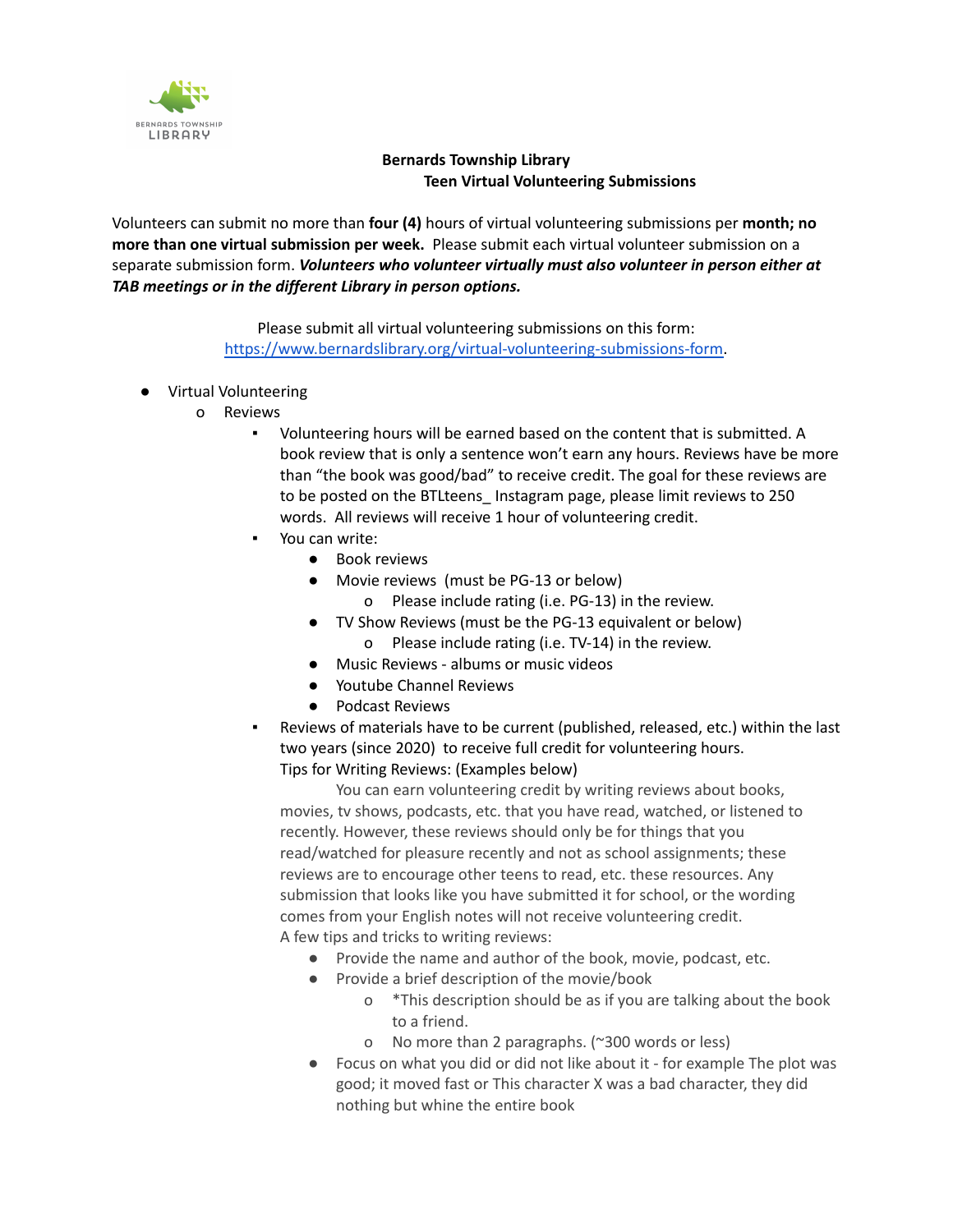

## **Bernards Township Library Teen Virtual Volunteering Submissions**

Volunteers can submit no more than **four (4)** hours of virtual volunteering submissions per **month; no more than one virtual submission per week.** Please submit each virtual volunteer submission on a separate submission form. *Volunteers who volunteer virtually must also volunteer in person either at TAB meetings or in the different Library in person options.*

> Please submit all virtual volunteering submissions on this form: [https://www.bernardslibrary.org/virtual-volunteering-submissions-form.](https://www.bernardslibrary.org/virtual-volunteering-submissions-form)

- Virtual Volunteering
	- o Reviews
		- Volunteering hours will be earned based on the content that is submitted. A book review that is only a sentence won't earn any hours. Reviews have be more than "the book was good/bad" to receive credit. The goal for these reviews are to be posted on the BTLteens\_ Instagram page, please limit reviews to 250 words. All reviews will receive 1 hour of volunteering credit.
		- You can write:
			- Book reviews
			- Movie reviews (must be PG-13 or below)
				- o Please include rating (i.e. PG-13) in the review.
			- TV Show Reviews (must be the PG-13 equivalent or below) o Please include rating (i.e. TV-14) in the review.
			- Music Reviews albums or music videos
			-
			- Youtube Channel Reviews
			- Podcast Reviews
		- Reviews of materials have to be current (published, released, etc.) within the last two years (since 2020) to receive full credit for volunteering hours. Tips for Writing Reviews: (Examples below)

You can earn volunteering credit by writing reviews about books, movies, tv shows, podcasts, etc. that you have read, watched, or listened to recently. However, these reviews should only be for things that you read/watched for pleasure recently and not as school assignments; these reviews are to encourage other teens to read, etc. these resources. Any submission that looks like you have submitted it for school, or the wording comes from your English notes will not receive volunteering credit. A few tips and tricks to writing reviews:

- Provide the name and author of the book, movie, podcast, etc.
- Provide a brief description of the movie/book
	- o \*This description should be as if you are talking about the book to a friend.
	- o No more than 2 paragraphs. (~300 words or less)
- Focus on what you did or did not like about it for example The plot was good; it moved fast or This character X was a bad character, they did nothing but whine the entire book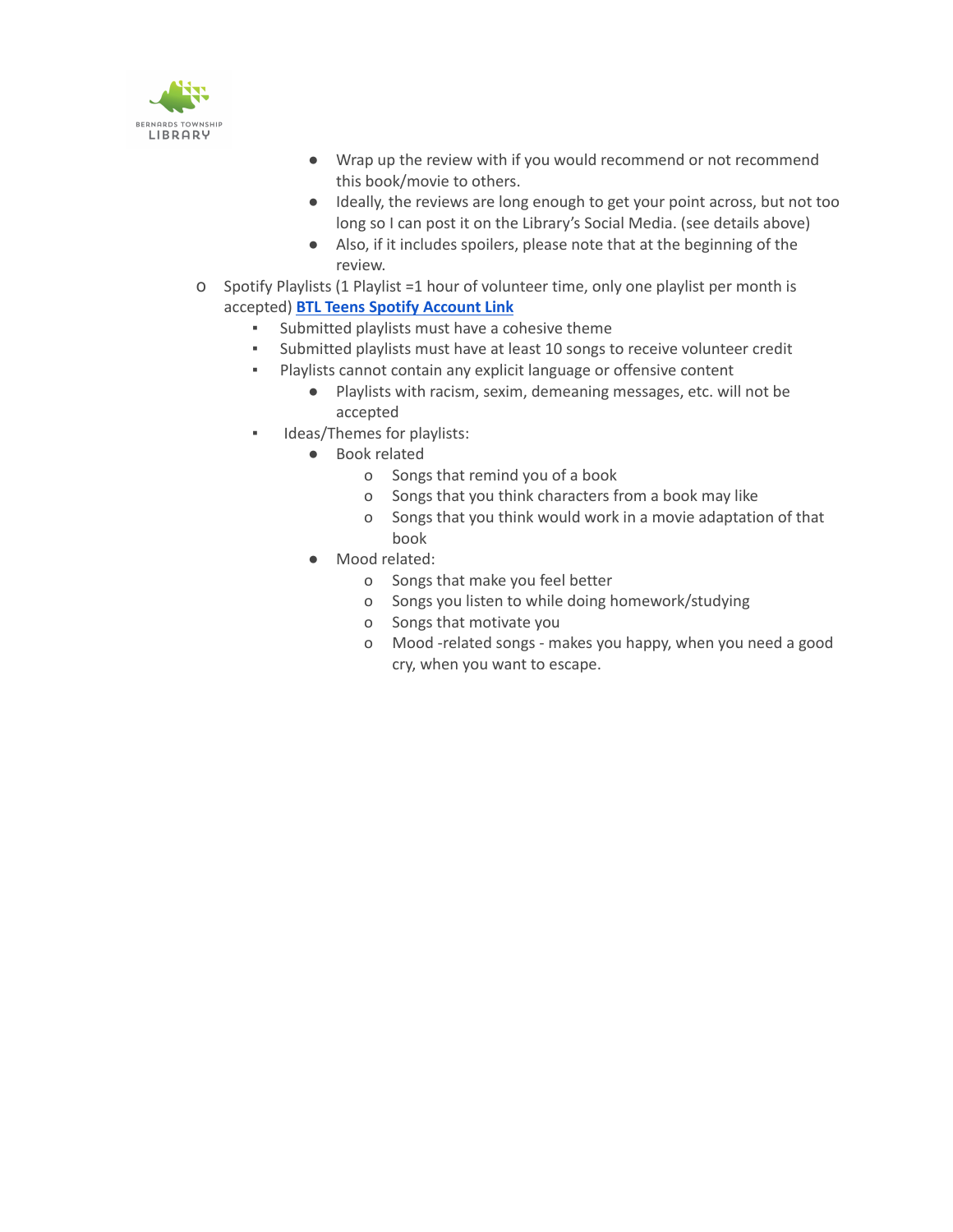

- Wrap up the review with if you would recommend or not recommend this book/movie to others.
- Ideally, the reviews are long enough to get your point across, but not too long so I can post it on the Library's Social Media. (see details above)
- Also, if it includes spoilers, please note that at the beginning of the review.
- o Spotify Playlists (1 Playlist =1 hour of volunteer time, only one playlist per month is accepted) **BTL Teens Spotify [Account](https://open.spotify.com/user/8pf9w4snvjhsvllahgn6ikvbj) Link**
	- Submitted playlists must have a cohesive theme
	- Submitted playlists must have at least 10 songs to receive volunteer credit
	- Playlists cannot contain any explicit language or offensive content
		- Playlists with racism, sexim, demeaning messages, etc. will not be accepted
	- **■** Ideas/Themes for playlists:
		- Book related
			- o Songs that remind you of a book
			- o Songs that you think characters from a book may like
			- o Songs that you think would work in a movie adaptation of that book
		- Mood related:
			- o Songs that make you feel better
			- o Songs you listen to while doing homework/studying
			- o Songs that motivate you
			- o Mood -related songs makes you happy, when you need a good cry, when you want to escape.